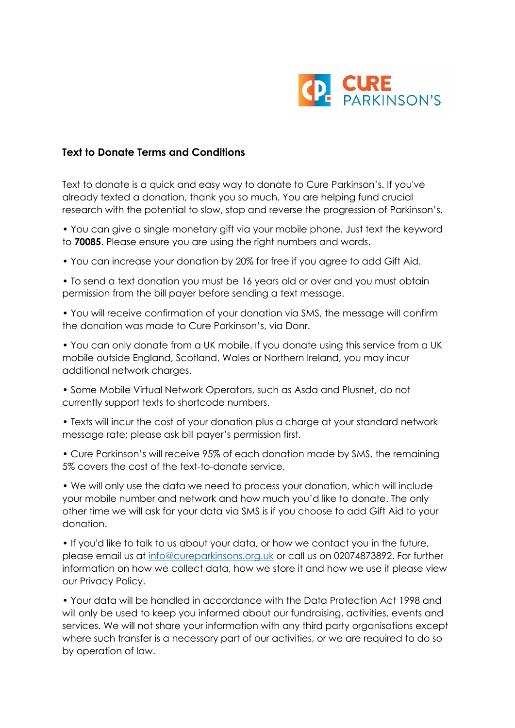

## **Text to Donate Terms and Conditions**

Text to donate is a quick and easy way to donate to Cure Parkinson's. If you've already texted a donation, thank you so much. You are helping fund crucial research with the potential to slow, stop and reverse the progression of Parkinson's.

• You can give a single monetary gift via your mobile phone. Just text the keyword to **70085**. Please ensure you are using the right numbers and words.

• You can increase your donation by 20% for free if you agree to add Gift Aid.

• To send a text donation you must be 16 years old or over and you must obtain permission from the bill payer before sending a text message.

• You will receive confirmation of your donation via SMS, the message will confirm the donation was made to Cure Parkinson's, via Donr.

• You can only donate from a UK mobile. If you donate using this service from a UK mobile outside England, Scotland, Wales or Northern Ireland, you may incur additional network charges.

• Some Mobile Virtual Network Operators, such as Asda and Plusnet, do not currently support texts to shortcode numbers.

• Texts will incur the cost of your donation plus a charge at your standard network message rate; please ask bill payer's permission first.

• Cure Parkinson's will receive 95% of each donation made by SMS, the remaining 5% covers the cost of the text-to-donate service.

• We will only use the data we need to process your donation, which will include your mobile number and network and how much you'd like to donate. The only other time we will ask for your data via SMS is if you choose to add Gift Aid to your donation.

• If you'd like to talk to us about your data, or how we contact you in the future, please email us at [info@cureparkinsons.org.uk](mailto:info@cureparkinsons.org.uk) or call us on 02074873892. For further information on how we collect data, how we store it and how we use it please view our Privacy Policy.

• Your data will be handled in accordance with the Data Protection Act 1998 and will only be used to keep you informed about our fundraising, activities, events and services. We will not share your information with any third party organisations except where such transfer is a necessary part of our activities, or we are required to do so by operation of law.